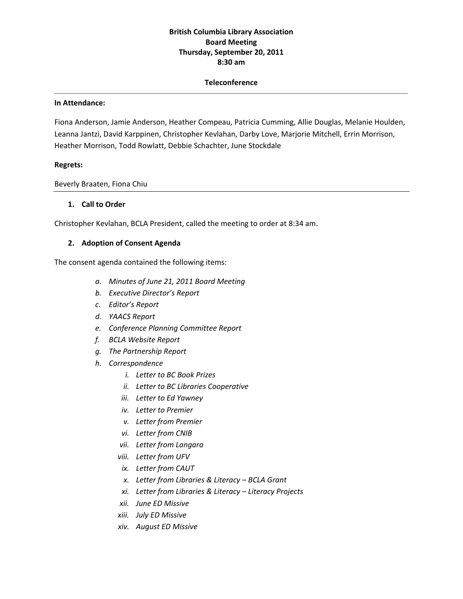# **British Columbia Library Association Board Meeting Thursday, September 20, 2011 8:30 am**

#### **Teleconference**

#### **In Attendance:**

Fiona Anderson, Jamie Anderson, Heather Compeau, Patricia Cumming, Allie Douglas, Melanie Houlden, Leanna Jantzi, David Karppinen, Christopher Kevlahan, Darby Love, Marjorie Mitchell, Errin Morrison, Heather Morrison, Todd Rowlatt, Debbie Schachter, June Stockdale

#### **Regrets:**

Beverly Braaten, Fiona Chiu

#### **1. Call to Order**

Christopher Kevlahan, BCLA President, called the meeting to order at 8:34 am.

#### **2. Adoption of Consent Agenda**

The consent agenda contained the following items:

- *a. Minutes of June 21, 2011 Board Meeting*
- *b. Executive Director's Report*
- *c. Editor's Report*
- *d. YAACS Report*
- *e. Conference Planning Committee Report*
- *f. BCLA Website Report*
- *g. The Partnership Report*
- *h. Correspondence*
	- *i. Letter to BC Book Prizes*
	- *ii. Letter to BC Libraries Cooperative*
	- *iii. Letter to Ed Yawney*
	- *iv. Letter to Premier*
	- *v. Letter from Premier*
	- *vi. Letter from CNIB*
	- *vii. Letter from Langara*
	- *viii. Letter from UFV*
	- *ix. Letter from CAUT*
	- *x. Letter from Libraries & Literacy – BCLA Grant*
	- *xi. Letter from Libraries & Literacy – Literacy Projects*
	- *xii. June ED Missive*
	- *xiii. July ED Missive*
	- *xiv. August ED Missive*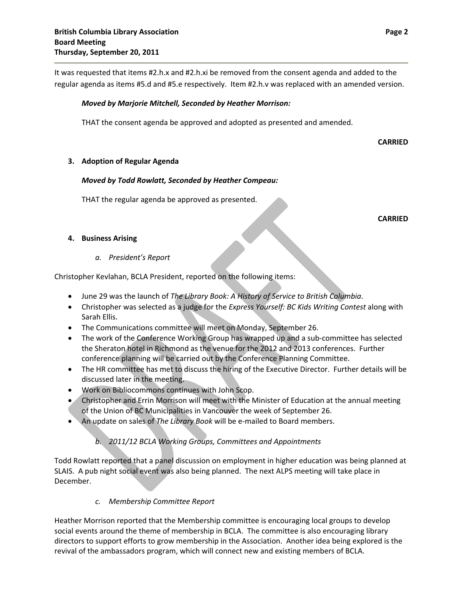It was requested that items #2.h.x and #2.h.xi be removed from the consent agenda and added to the regular agenda as items #5.d and #5.e respectively. Item #2.h.v was replaced with an amended version.

### *Moved by Marjorie Mitchell, Seconded by Heather Morrison:*

THAT the consent agenda be approved and adopted as presented and amended.

**CARRIED**

## **3. Adoption of Regular Agenda**

## *Moved by Todd Rowlatt, Seconded by Heather Compeau:*

THAT the regular agenda be approved as presented.

**CARRIED**

## **4. Business Arising**

#### *a. President's Report*

Christopher Kevlahan, BCLA President, reported on the following items:

- June 29 was the launch of *The Library Book: A History of Service to British Columbia*.
- Christopher was selected as a judge for the *Express Yourself: BC Kids Writing Contest* along with Sarah Ellis.
- The Communications committee will meet on Monday, September 26.
- The work of the Conference Working Group has wrapped up and a sub-committee has selected the Sheraton hotel in Richmond as the venue for the 2012 and 2013 conferences. Further conference planning will be carried out by the Conference Planning Committee.
- The HR committee has met to discuss the hiring of the Executive Director. Further details will be discussed later in the meeting.
- Work on Bibliocommons continues with John Scop.
- Christopher and Errin Morrison will meet with the Minister of Education at the annual meeting of the Union of BC Municipalities in Vancouver the week of September 26.
- An update on sales of *The Library Book* will be e‐mailed to Board members.

# *b. 2011/12 BCLA Working Groups, Committees and Appointments*

Todd Rowlatt reported that a panel discussion on employment in higher education was being planned at SLAIS. A pub night social event was also being planned. The next ALPS meeting will take place in December.

# *c. Membership Committee Report*

Heather Morrison reported that the Membership committee is encouraging local groups to develop social events around the theme of membership in BCLA. The committee is also encouraging library directors to support efforts to grow membership in the Association. Another idea being explored is the revival of the ambassadors program, which will connect new and existing members of BCLA.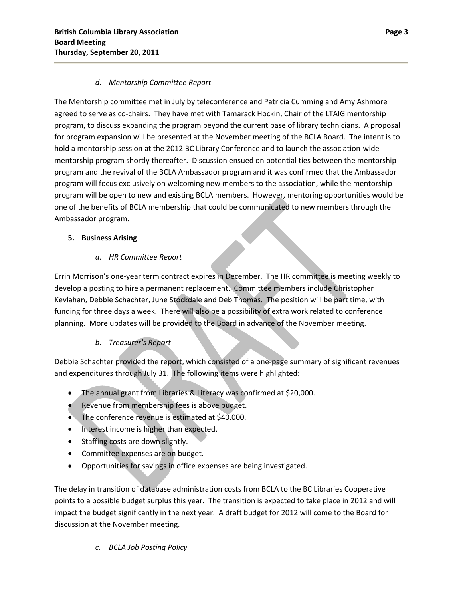# *d. Mentorship Committee Report*

The Mentorship committee met in July by teleconference and Patricia Cumming and Amy Ashmore agreed to serve as co-chairs. They have met with Tamarack Hockin, Chair of the LTAIG mentorship program, to discuss expanding the program beyond the current base of library technicians. A proposal for program expansion will be presented at the November meeting of the BCLA Board. The intent is to hold a mentorship session at the 2012 BC Library Conference and to launch the association‐wide mentorship program shortly thereafter. Discussion ensued on potential ties between the mentorship program and the revival of the BCLA Ambassador program and it was confirmed that the Ambassador program will focus exclusively on welcoming new members to the association, while the mentorship program will be open to new and existing BCLA members. However, mentoring opportunities would be one of the benefits of BCLA membership that could be communicated to new members through the Ambassador program.

# **5. Business Arising**

# *a. HR Committee Report*

Errin Morrison's one‐year term contract expires in December. The HR committee is meeting weekly to develop a posting to hire a permanent replacement. Committee members include Christopher Kevlahan, Debbie Schachter, June Stockdale and Deb Thomas. The position will be part time, with funding for three days a week. There will also be a possibility of extra work related to conference planning. More updates will be provided to the Board in advance of the November meeting.

# *b. Treasurer's Report*

Debbie Schachter provided the report, which consisted of a one‐page summary of significant revenues and expenditures through July 31. The following items were highlighted:

- The annual grant from Libraries & Literacy was confirmed at \$20,000.
- Revenue from membership fees is above budget.
- The conference revenue is estimated at \$40,000.
- Interest income is higher than expected.
- Staffing costs are down slightly.
- Committee expenses are on budget.
- Opportunities for savings in office expenses are being investigated.

The delay in transition of database administration costs from BCLA to the BC Libraries Cooperative points to a possible budget surplus this year. The transition is expected to take place in 2012 and will impact the budget significantly in the next year. A draft budget for 2012 will come to the Board for discussion at the November meeting.

*c. BCLA Job Posting Policy*